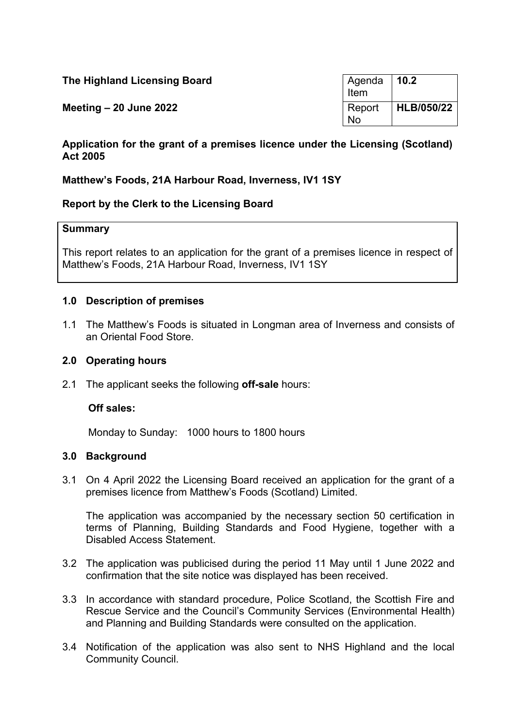| The Highland Licensing Board | Agenda<br>Item      | 10.2       |
|------------------------------|---------------------|------------|
| Meeting $-20$ June 2022      | Report<br><b>No</b> | HLB/050/22 |

# **Application for the grant of a premises licence under the Licensing (Scotland) Act 2005**

# **Matthew's Foods, 21A Harbour Road, Inverness, IV1 1SY**

## **Report by the Clerk to the Licensing Board**

#### **Summary**

This report relates to an application for the grant of a premises licence in respect of Matthew's Foods, 21A Harbour Road, Inverness, IV1 1SY

#### **1.0 Description of premises**

1.1 The Matthew's Foods is situated in Longman area of Inverness and consists of an Oriental Food Store.

#### **2.0 Operating hours**

2.1 The applicant seeks the following **off-sale** hours:

#### **Off sales:**

Monday to Sunday: 1000 hours to 1800 hours

## **3.0 Background**

3.1 On 4 April 2022 the Licensing Board received an application for the grant of a premises licence from Matthew's Foods (Scotland) Limited.

The application was accompanied by the necessary section 50 certification in terms of Planning, Building Standards and Food Hygiene, together with a Disabled Access Statement.

- 3.2 The application was publicised during the period 11 May until 1 June 2022 and confirmation that the site notice was displayed has been received.
- 3.3 In accordance with standard procedure, Police Scotland, the Scottish Fire and Rescue Service and the Council's Community Services (Environmental Health) and Planning and Building Standards were consulted on the application.
- 3.4 Notification of the application was also sent to NHS Highland and the local Community Council.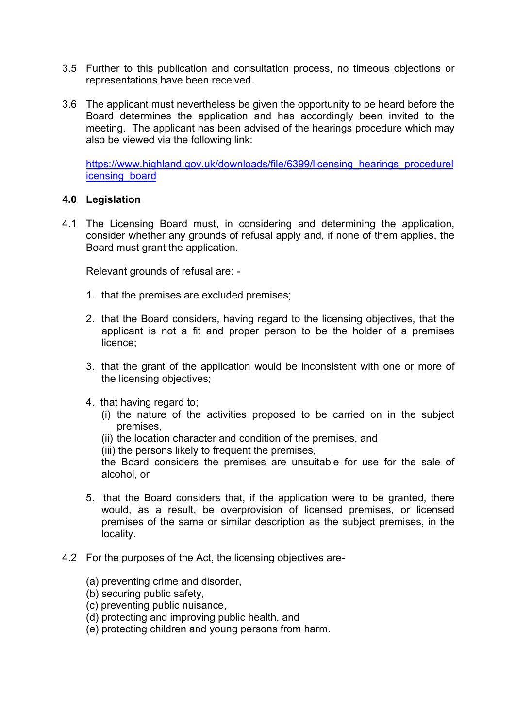- 3.5 Further to this publication and consultation process, no timeous objections or representations have been received.
- 3.6 The applicant must nevertheless be given the opportunity to be heard before the Board determines the application and has accordingly been invited to the meeting. The applicant has been advised of the hearings procedure which may also be viewed via the following link:

[https://www.highland.gov.uk/downloads/file/6399/licensing\\_hearings\\_procedurel](https://www.highland.gov.uk/downloads/file/6399/licensing_hearings_procedurelicensing_board) [icensing\\_board](https://www.highland.gov.uk/downloads/file/6399/licensing_hearings_procedurelicensing_board)

## **4.0 Legislation**

4.1 The Licensing Board must, in considering and determining the application, consider whether any grounds of refusal apply and, if none of them applies, the Board must grant the application.

Relevant grounds of refusal are: -

- 1. that the premises are excluded premises;
- 2. that the Board considers, having regard to the licensing objectives, that the applicant is not a fit and proper person to be the holder of a premises licence;
- 3. that the grant of the application would be inconsistent with one or more of the licensing objectives;
- 4. that having regard to;
	- (i) the nature of the activities proposed to be carried on in the subject premises,
	- (ii) the location character and condition of the premises, and
	- (iii) the persons likely to frequent the premises,

the Board considers the premises are unsuitable for use for the sale of alcohol, or

- 5. that the Board considers that, if the application were to be granted, there would, as a result, be overprovision of licensed premises, or licensed premises of the same or similar description as the subject premises, in the locality.
- 4.2 For the purposes of the Act, the licensing objectives are-
	- (a) preventing crime and disorder,
	- (b) securing public safety,
	- (c) preventing public nuisance,
	- (d) protecting and improving public health, and
	- (e) protecting children and young persons from harm.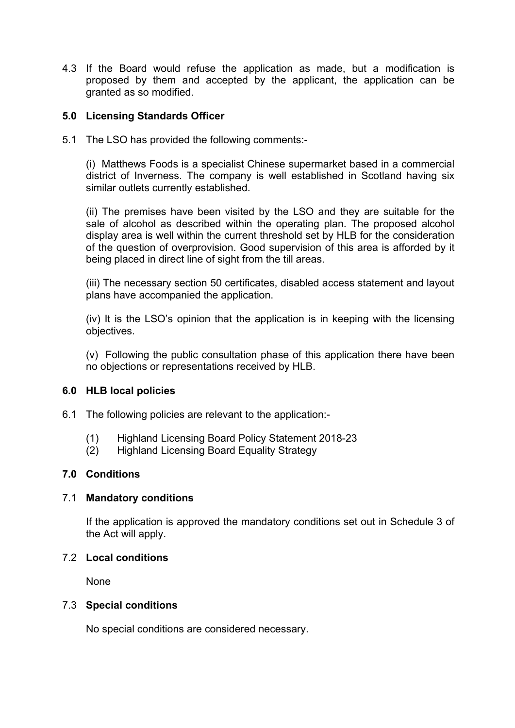4.3 If the Board would refuse the application as made, but a modification is proposed by them and accepted by the applicant, the application can be granted as so modified.

# **5.0 Licensing Standards Officer**

5.1 The LSO has provided the following comments:-

(i) Matthews Foods is a specialist Chinese supermarket based in a commercial district of Inverness. The company is well established in Scotland having six similar outlets currently established.

(ii) The premises have been visited by the LSO and they are suitable for the sale of alcohol as described within the operating plan. The proposed alcohol display area is well within the current threshold set by HLB for the consideration of the question of overprovision. Good supervision of this area is afforded by it being placed in direct line of sight from the till areas.

(iii) The necessary section 50 certificates, disabled access statement and layout plans have accompanied the application.

(iv) It is the LSO's opinion that the application is in keeping with the licensing objectives.

(v) Following the public consultation phase of this application there have been no objections or representations received by HLB.

## **6.0 HLB local policies**

- 6.1 The following policies are relevant to the application:-
	- (1) Highland Licensing Board Policy Statement 2018-23
	- (2) Highland Licensing Board Equality Strategy

## **7.0 Conditions**

## 7.1 **Mandatory conditions**

If the application is approved the mandatory conditions set out in Schedule 3 of the Act will apply.

## 7.2 **Local conditions**

None

## 7.3 **Special conditions**

No special conditions are considered necessary.